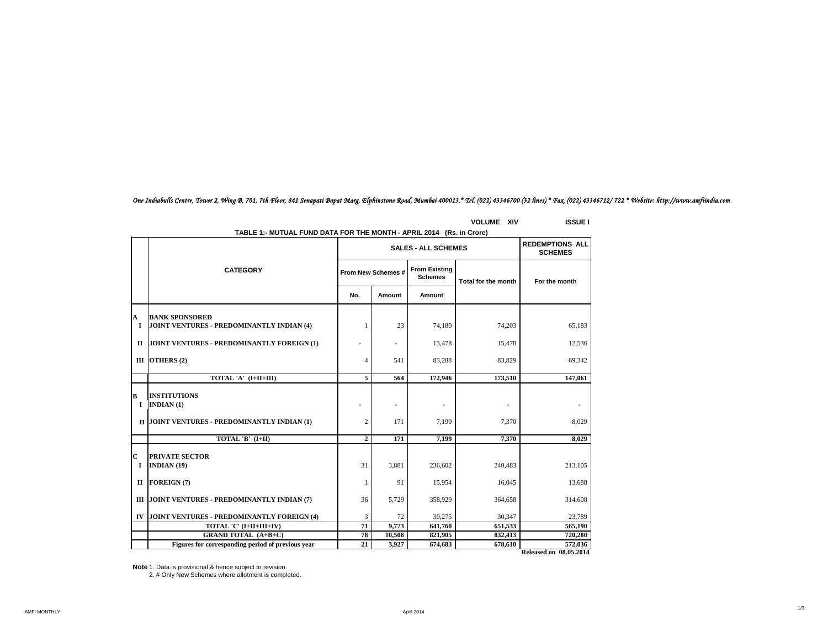# *One Indiabulls Centre, Tower 2, Wing B, 701, 7th Floor, 841 Senapati Bapat Marg, Elphinstone Road, Mumbai 400013.\* Tel. (022) 43346700 (32 lines) \* Fax. (022) 43346712/ 722 \* Website: http://www.amfiindia.com*

|              | TABLE 1:- MUTUAL FUND DATA FOR THE MONTH - APRIL 2014 (Rs. in Crore) |                |                                            |                                          |                     |                               |  |  |
|--------------|----------------------------------------------------------------------|----------------|--------------------------------------------|------------------------------------------|---------------------|-------------------------------|--|--|
|              | <b>CATEGORY</b>                                                      |                | <b>SALES - ALL SCHEMES</b>                 | <b>REDEMPTIONS ALL</b><br><b>SCHEMES</b> |                     |                               |  |  |
|              |                                                                      |                | <b>From Existing</b><br>From New Schemes # |                                          | Total for the month | For the month                 |  |  |
|              |                                                                      | No.            | Amount                                     | Amount                                   |                     |                               |  |  |
| A            | <b>BANK SPONSORED</b>                                                |                |                                            |                                          |                     |                               |  |  |
| $\mathbf{I}$ | JOINT VENTURES - PREDOMINANTLY INDIAN (4)                            | -1             | 23                                         | 74,180                                   | 74,203              | 65,183                        |  |  |
| п            | JOINT VENTURES - PREDOMINANTLY FOREIGN (1)                           |                | $\overline{\phantom{a}}$                   | 15,478                                   | 15,478              | 12,536                        |  |  |
|              | III OTHERS $(2)$                                                     | 4              | 541                                        | 83,288                                   | 83,829              | 69,342                        |  |  |
|              | TOTAL 'A' (I+II+III)                                                 | 5              | 564                                        | 172,946                                  | 173,510             | 147,061                       |  |  |
| B<br>1       | <b>INSTITUTIONS</b><br>INDIAN $(1)$                                  |                |                                            |                                          |                     |                               |  |  |
|              | II JOINT VENTURES - PREDOMINANTLY INDIAN (1)                         | $\overline{2}$ | 171                                        | 7.199                                    | 7.370               | 8.029                         |  |  |
|              | TOTAL 'B' (I+II)                                                     | $\overline{2}$ | 171                                        | 7.199                                    | 7.370               | 8.029                         |  |  |
| C<br>1       | <b>PRIVATE SECTOR</b><br>INDIAN $(19)$                               | 31             | 3.881                                      | 236,602                                  | 240,483             | 213,105                       |  |  |
| П            | <b>FOREIGN(7)</b>                                                    | 1              | 91                                         | 15,954                                   | 16,045              | 13,688                        |  |  |
|              | III JOINT VENTURES - PREDOMINANTLY INDIAN (7)                        | 36             | 5,729                                      | 358,929                                  | 364,658             | 314,608                       |  |  |
| IV           | JOINT VENTURES - PREDOMINANTLY FOREIGN (4)                           | 3              | 72                                         | 30,275                                   | 30,347              | 23,789                        |  |  |
|              | TOTAL 'C' (I+II+III+IV)                                              | 71             | 9,773                                      | 641,760                                  | 651,533             | 565,190                       |  |  |
|              | <b>GRAND TOTAL (A+B+C)</b>                                           | 78             | 10,508                                     | 821,905                                  | 832,413             | 720,280                       |  |  |
|              | Figures for corresponding period of previous year                    | 21             | 3,927                                      | 674,683                                  | 678.610             | 572.036                       |  |  |
|              |                                                                      |                |                                            |                                          |                     | <b>Released on 08.05.2014</b> |  |  |

**TABLE 1:- MUTUAL FUND DATA FOR THE MONTH - APRIL 2014 (Rs. in Crore)**

**VOLUME XIV ISSUE I**

**Note** 1. Data is provisional & hence subject to revision.

2. # Only New Schemes where allotment is completed.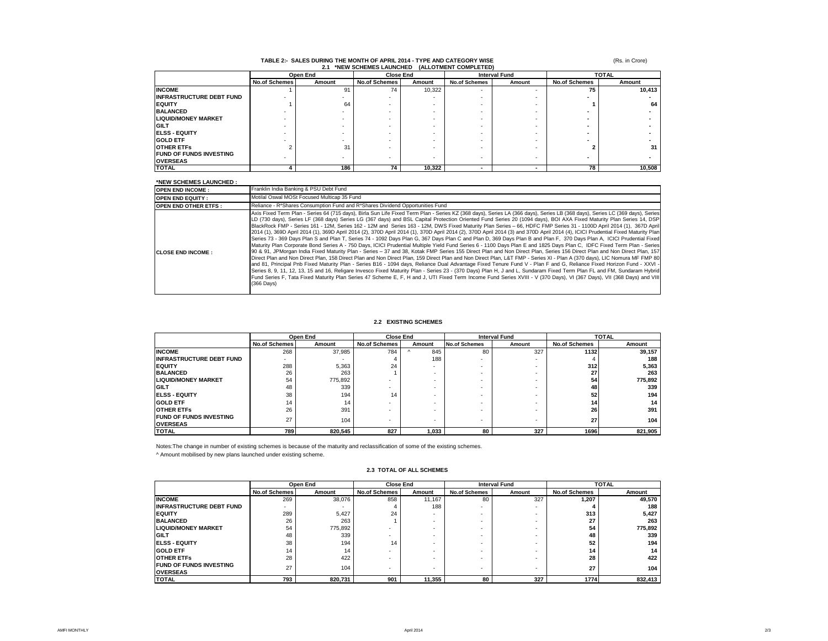|                                 | Open End             |                          | <b>Close End</b>     |        | <b>Interval Fund</b> |        | <b>TOTAL</b>         |        |  |
|---------------------------------|----------------------|--------------------------|----------------------|--------|----------------------|--------|----------------------|--------|--|
|                                 | <b>No.of Schemes</b> | Amount                   | <b>No.of Schemes</b> | Amount | <b>No.of Schemes</b> | Amount | <b>No.of Schemes</b> | Amount |  |
| <b>INCOME</b>                   |                      | 91                       | 74                   | 10,322 |                      |        | 75                   | 10,413 |  |
| <b>INFRASTRUCTURE DEBT FUND</b> |                      |                          |                      |        |                      |        |                      |        |  |
| <b>EQUITY</b>                   |                      | 64                       |                      |        |                      |        |                      | 64     |  |
| <b>BALANCED</b>                 |                      |                          |                      |        |                      |        |                      |        |  |
| <b>LIQUID/MONEY MARKET</b>      |                      |                          |                      |        |                      |        |                      |        |  |
| <b>GILT</b>                     |                      |                          |                      |        |                      |        |                      |        |  |
| <b>IELSS - EQUITY</b>           |                      |                          |                      |        |                      |        |                      |        |  |
| <b>GOLD ETF</b>                 |                      |                          |                      |        |                      |        |                      |        |  |
| <b>OTHER ETFS</b>               |                      | 31                       |                      |        |                      |        |                      | 31     |  |
| <b>FUND OF FUNDS INVESTING</b>  |                      | $\overline{\phantom{a}}$ |                      | -      | ۰                    |        |                      |        |  |
| <b>OVERSEAS</b>                 |                      |                          |                      |        |                      |        |                      |        |  |
| <b>TOTAL</b>                    |                      | 186                      | 74                   | 10.322 |                      |        | 78                   | 10.508 |  |

# **TABLE 2:- SALES DURING THE MONTH OF APRIL 2014 - TYPE AND CATEGORY WISE 2.1 \*NEW SCHEMES LAUNCHED (ALLOTMENT COMPLETED)**

(Rs. in Crore)

### **\*NEW SCHEMES LAUNCHED :**

| <b>OPEN END INCOME:</b>     | Franklin India Banking & PSU Debt Fund                                                                                                                                                                                                                                                                                                                                                                                                                                                                                                                                                                                                                                                                                                                                                                                                                                                                                                                                                                                                                                                                                                                                                                                                                                                                                                                                                                                                                                                                                                                                                                                                                                                                                                                                                                                                                                                                                                                                                                                                 |
|-----------------------------|----------------------------------------------------------------------------------------------------------------------------------------------------------------------------------------------------------------------------------------------------------------------------------------------------------------------------------------------------------------------------------------------------------------------------------------------------------------------------------------------------------------------------------------------------------------------------------------------------------------------------------------------------------------------------------------------------------------------------------------------------------------------------------------------------------------------------------------------------------------------------------------------------------------------------------------------------------------------------------------------------------------------------------------------------------------------------------------------------------------------------------------------------------------------------------------------------------------------------------------------------------------------------------------------------------------------------------------------------------------------------------------------------------------------------------------------------------------------------------------------------------------------------------------------------------------------------------------------------------------------------------------------------------------------------------------------------------------------------------------------------------------------------------------------------------------------------------------------------------------------------------------------------------------------------------------------------------------------------------------------------------------------------------------|
| <b>OPEN END EQUITY:</b>     | Motilal Oswal MOSt Focused Multicap 35 Fund                                                                                                                                                                                                                                                                                                                                                                                                                                                                                                                                                                                                                                                                                                                                                                                                                                                                                                                                                                                                                                                                                                                                                                                                                                                                                                                                                                                                                                                                                                                                                                                                                                                                                                                                                                                                                                                                                                                                                                                            |
| <b>OPEN END OTHER ETFS:</b> | Reliance - R*Shares Consumption Fund and R*Shares Dividend Opportunities Fund                                                                                                                                                                                                                                                                                                                                                                                                                                                                                                                                                                                                                                                                                                                                                                                                                                                                                                                                                                                                                                                                                                                                                                                                                                                                                                                                                                                                                                                                                                                                                                                                                                                                                                                                                                                                                                                                                                                                                          |
| <b>ICLOSE END INCOME :</b>  | Axis Fixed Term Plan - Series 64 (715 days), Birla Sun Life Fixed Term Plan - Series KZ (368 days), Series LA (366 days), Series LB (368 days), Series LC (369 days), Series LC (369 days), Series LC (369 days), Series<br>LD (730 days), Series LF (368 days) Series LG (367 days) and BSL Capital Protection Oriented Fund Series 20 (1094 days), BOI AXA Fixed Maturity Plan Series 14, DSP<br>BlackRock FMP - Series 161 - 12M, Series 162 - 12M and Series 163 - 12M, DWS Fixed Maturity Plan Series - 66, HDFC FMP Series 31 - 1100D April 2014 (1), 367D April 1<br>2014 (1), 369D April 2014 (1), 369D April 2014 (2), 370D April 2014 (1), 370D April 2014 (2), 370D April 2014 (3) and 370D April 2014 (4), ICICI Prudential Fixed Maturity Plan<br>Series 73 - 369 Days Plan S and Plan T, Series 74 - 1092 Days Plan G, 367 Days Plan C and Plan D, 369 Days Plan B and Plan F, 370 Days Plan A, ICICI Prudential Fixed<br>Maturity Plan Corporate Bond Series A - 750 Days, ICICI Prudential Multiple Yield Fund Series 6 - 1100 Days Plan E and 1825 Days Plan C. IDFC Fixed Term Plan - Series<br>90 & 91, JPMorgan India Fixed Maturity Plan - Series - 37 and 38, Kotak FMP Series 155 Direct Plan and Non Direct Plan, Series 156 Direct Plan and Non Direct Plan and Non Direct Plan, 157<br>Direct Plan and Non Direct Plan, 158 Direct Plan and Non Direct Plan, 159 Direct Plan and Non Direct Plan, L&T FMP - Series XI - Plan A (370 days), LIC Nomura MF FMP 80<br>land 81. Principal Pnb Fixed Maturity Plan - Series B16 - 1094 days. Reliance Dual Advantage Fixed Tenure Fund V - Plan F and G. Reliance Fixed Horizon Fund - XXVI -<br>Series 8, 9, 11, 12, 13, 15 and 16, Religare Invesco Fixed Maturity Plan - Series 23 - (370 Days) Plan H, J and L, Sundaram Fixed Term Plan FL and FM, Sundaram Hybrid<br>Fund Series F, Tata Fixed Maturity Plan Series 47 Scheme E, F, H and J, UTI Fixed Term Income Fund Series XVIII - V (370 Days), VI (367 Days), VII (368 Days) and VIII<br>$(366$ Days) |

### **2.2 EXISTING SCHEMES**

|                                                   |                      | Open End                 | <b>Close End</b>     |                          | <b>Interval Fund</b> |                          | <b>TOTAL</b>         |         |
|---------------------------------------------------|----------------------|--------------------------|----------------------|--------------------------|----------------------|--------------------------|----------------------|---------|
|                                                   | <b>No.of Schemes</b> | Amount                   | <b>No.of Schemes</b> | Amount                   | <b>No.of Schemes</b> | Amount                   | <b>No.of Schemes</b> | Amount  |
| <b>INCOME</b>                                     | 268                  | 37.985                   | 784                  | 845                      | 80                   | 327                      | 1132                 | 39,157  |
| <b>INFRASTRUCTURE DEBT FUND</b>                   |                      | $\overline{\phantom{a}}$ |                      | 188                      |                      |                          |                      | 188     |
| <b>EQUITY</b>                                     | 288                  | 5,363                    | 24                   | ۰                        |                      |                          | 312                  | 5,363   |
| <b>BALANCED</b>                                   | 26                   | 263                      |                      |                          |                      |                          | 27                   | 263     |
| <b>LIQUID/MONEY MARKET</b>                        | 54                   | 775,892                  |                      | $\overline{\phantom{a}}$ |                      | $\overline{\phantom{a}}$ | 54                   | 775,892 |
| <b>GILT</b>                                       | 48                   | 339                      |                      | $\overline{\phantom{a}}$ |                      |                          | 48                   | 339     |
| <b>ELSS - EQUITY</b>                              | 38                   | 194                      | 14                   |                          | -                    | $\overline{\phantom{a}}$ | 52                   | 194     |
| <b>GOLD ETF</b>                                   | 14                   | 14                       |                      | $\overline{\phantom{a}}$ |                      |                          | 14 <sub>1</sub>      | 14      |
| <b>OTHER ETFS</b>                                 | 26                   | 391                      |                      | $\overline{\phantom{a}}$ |                      | $\overline{\phantom{a}}$ | 26                   | 391     |
| <b>FUND OF FUNDS INVESTING</b><br><b>OVERSEAS</b> | 27                   | 104                      |                      | $\overline{\phantom{a}}$ | $\sim$               |                          | 27                   | 104     |
| <b>TOTAL</b>                                      | 789                  | 820.545                  | 827                  | 1.033                    | 80                   | 327                      | 1696                 | 821,905 |

Notes:The change in number of existing schemes is because of the maturity and reclassification of some of the existing schemes. ^ Amount mobilised by new plans launched under existing scheme.

|                                                   |                      | Open End |                      | <b>Close End</b> |                      | <b>Interval Fund</b> |                      | <b>TOTAL</b> |  |
|---------------------------------------------------|----------------------|----------|----------------------|------------------|----------------------|----------------------|----------------------|--------------|--|
|                                                   | <b>No.of Schemes</b> | Amount   | <b>No.of Schemes</b> | Amount           | <b>No.of Schemes</b> | Amount               | <b>No.of Schemes</b> | Amount       |  |
| <b>INCOME</b>                                     | 269                  | 38.076   | 858                  | 11.167           | 80                   | 327                  | ,207                 | 49,570       |  |
| <b>INFRASTRUCTURE DEBT FUND</b>                   | ۰                    |          |                      | 188              |                      |                      |                      | 188          |  |
| <b>EQUITY</b>                                     | 289                  | 5.427    | 24                   |                  |                      |                      | 313                  | 5,427        |  |
| <b>BALANCED</b>                                   | 26                   | 263      |                      |                  |                      |                      | 27                   | 263          |  |
| <b>LIQUID/MONEY MARKET</b>                        | 54                   | 775,892  |                      |                  |                      |                      | 54                   | 775,892      |  |
| <b>GILT</b>                                       | 48                   | 339      |                      |                  |                      |                      | 48                   | 339          |  |
| <b>ELSS EQUITY</b>                                | 38                   | 194      | 14                   |                  |                      |                      | 52                   | 194          |  |
| <b>GOLD ETF</b>                                   | 14                   | 14       |                      |                  |                      |                      | 14                   | 14           |  |
| <b>OTHER ETFS</b>                                 | 28                   | 422      |                      |                  |                      |                      | 28                   | 422          |  |
| <b>FUND OF FUNDS INVESTING</b><br><b>OVERSEAS</b> | 27                   | 104      |                      |                  |                      |                      | 27                   | 104          |  |
| <b>TOTAL</b>                                      | 793                  | 820.731  | 901                  | 11.355           | 80                   | 327                  | 1774                 | 832.413      |  |

#### **2.3 TOTAL OF ALL SCHEMES**